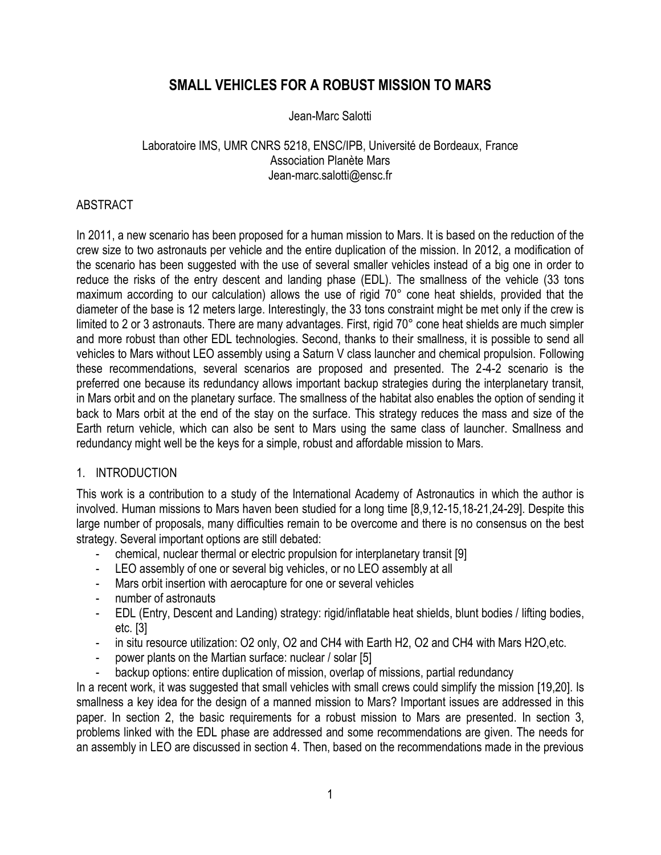# **SMALL VEHICLES FOR A ROBUST MISSION TO MARS**

### Jean-Marc Salotti

## Laboratoire IMS, UMR CNRS 5218, ENSC/IPB, Université de Bordeaux, France Association Planète Mars Jean-marc.salotti@ensc.fr

## ABSTRACT

In 2011, a new scenario has been proposed for a human mission to Mars. It is based on the reduction of the crew size to two astronauts per vehicle and the entire duplication of the mission. In 2012, a modification of the scenario has been suggested with the use of several smaller vehicles instead of a big one in order to reduce the risks of the entry descent and landing phase (EDL). The smallness of the vehicle (33 tons maximum according to our calculation) allows the use of rigid 70° cone heat shields, provided that the diameter of the base is 12 meters large. Interestingly, the 33 tons constraint might be met only if the crew is limited to 2 or 3 astronauts. There are many advantages. First, rigid 70° cone heat shields are much simpler and more robust than other EDL technologies. Second, thanks to their smallness, it is possible to send all vehicles to Mars without LEO assembly using a Saturn V class launcher and chemical propulsion. Following these recommendations, several scenarios are proposed and presented. The 2-4-2 scenario is the preferred one because its redundancy allows important backup strategies during the interplanetary transit, in Mars orbit and on the planetary surface. The smallness of the habitat also enables the option of sending it back to Mars orbit at the end of the stay on the surface. This strategy reduces the mass and size of the Earth return vehicle, which can also be sent to Mars using the same class of launcher. Smallness and redundancy might well be the keys for a simple, robust and affordable mission to Mars.

#### 1. INTRODUCTION

This work is a contribution to a study of the International Academy of Astronautics in which the author is involved. Human missions to Mars haven been studied for a long time [8,9,12-15,18-21,24-29]. Despite this large number of proposals, many difficulties remain to be overcome and there is no consensus on the best strategy. Several important options are still debated:

- chemical, nuclear thermal or electric propulsion for interplanetary transit [9]
- LEO assembly of one or several big vehicles, or no LEO assembly at all
- Mars orbit insertion with aerocapture for one or several vehicles
- number of astronauts
- EDL (Entry, Descent and Landing) strategy: rigid/inflatable heat shields, blunt bodies / lifting bodies, etc. [3]
- in situ resource utilization: O2 only, O2 and CH4 with Earth H2, O2 and CH4 with Mars H2O, etc.
- power plants on the Martian surface: nuclear / solar [5]
- backup options: entire duplication of mission, overlap of missions, partial redundancy

In a recent work, it was suggested that small vehicles with small crews could simplify the mission [19,20]. Is smallness a key idea for the design of a manned mission to Mars? Important issues are addressed in this paper. In section 2, the basic requirements for a robust mission to Mars are presented. In section 3, problems linked with the EDL phase are addressed and some recommendations are given. The needs for an assembly in LEO are discussed in section 4. Then, based on the recommendations made in the previous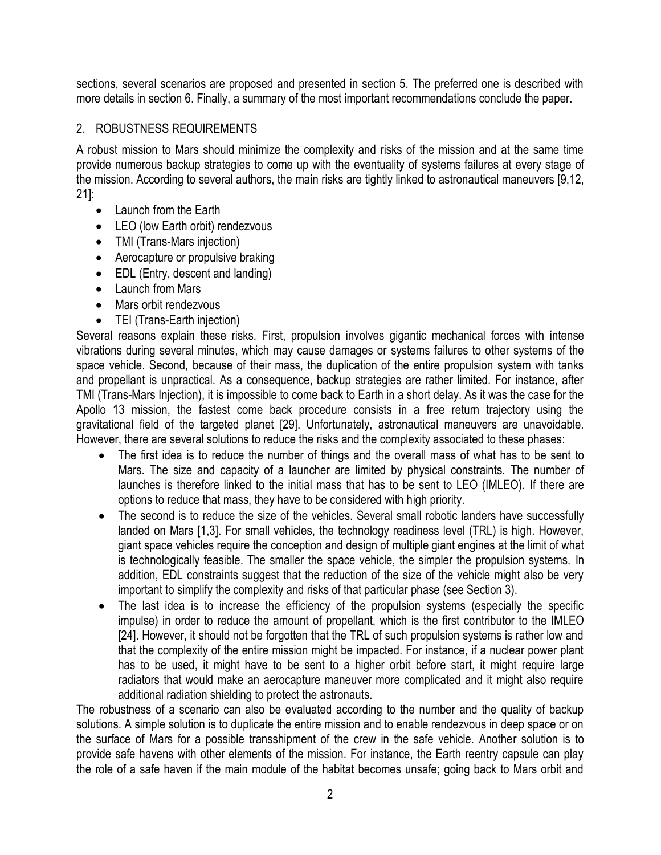sections, several scenarios are proposed and presented in section 5. The preferred one is described with more details in section 6. Finally, a summary of the most important recommendations conclude the paper.

## 2. ROBUSTNESS REQUIREMENTS

A robust mission to Mars should minimize the complexity and risks of the mission and at the same time provide numerous backup strategies to come up with the eventuality of systems failures at every stage of the mission. According to several authors, the main risks are tightly linked to astronautical maneuvers [9,12, 21]:

- Launch from the Earth
- LEO (low Earth orbit) rendezvous
- TMI (Trans-Mars injection)
- Aerocapture or propulsive braking
- EDL (Entry, descent and landing)
- $\bullet$  Launch from Mars
- Mars orbit rendezvous
- TEI (Trans-Earth injection)

Several reasons explain these risks. First, propulsion involves gigantic mechanical forces with intense vibrations during several minutes, which may cause damages or systems failures to other systems of the space vehicle. Second, because of their mass, the duplication of the entire propulsion system with tanks and propellant is unpractical. As a consequence, backup strategies are rather limited. For instance, after TMI (Trans-Mars Injection), it is impossible to come back to Earth in a short delay. As it was the case for the Apollo 13 mission, the fastest come back procedure consists in a free return trajectory using the gravitational field of the targeted planet [29]. Unfortunately, astronautical maneuvers are unavoidable. However, there are several solutions to reduce the risks and the complexity associated to these phases:

- The first idea is to reduce the number of things and the overall mass of what has to be sent to Mars. The size and capacity of a launcher are limited by physical constraints. The number of launches is therefore linked to the initial mass that has to be sent to LEO (IMLEO). If there are options to reduce that mass, they have to be considered with high priority.
- The second is to reduce the size of the vehicles. Several small robotic landers have successfully landed on Mars [1,3]. For small vehicles, the technology readiness level (TRL) is high. However, giant space vehicles require the conception and design of multiple giant engines at the limit of what is technologically feasible. The smaller the space vehicle, the simpler the propulsion systems. In addition, EDL constraints suggest that the reduction of the size of the vehicle might also be very important to simplify the complexity and risks of that particular phase (see Section 3).
- The last idea is to increase the efficiency of the propulsion systems (especially the specific impulse) in order to reduce the amount of propellant, which is the first contributor to the IMLEO [24]. However, it should not be forgotten that the TRL of such propulsion systems is rather low and that the complexity of the entire mission might be impacted. For instance, if a nuclear power plant has to be used, it might have to be sent to a higher orbit before start, it might require large radiators that would make an aerocapture maneuver more complicated and it might also require additional radiation shielding to protect the astronauts.

The robustness of a scenario can also be evaluated according to the number and the quality of backup solutions. A simple solution is to duplicate the entire mission and to enable rendezvous in deep space or on the surface of Mars for a possible transshipment of the crew in the safe vehicle. Another solution is to provide safe havens with other elements of the mission. For instance, the Earth reentry capsule can play the role of a safe haven if the main module of the habitat becomes unsafe; going back to Mars orbit and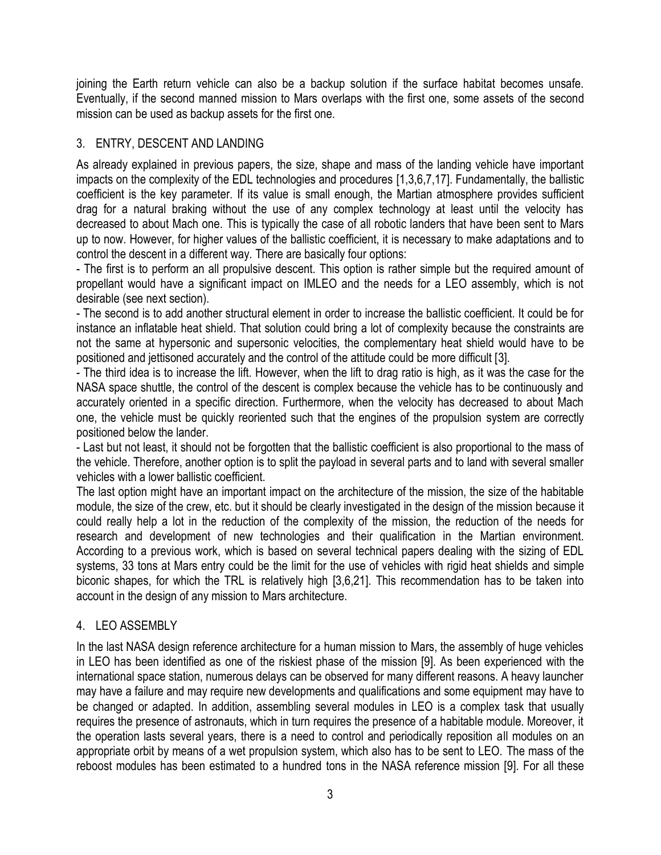joining the Earth return vehicle can also be a backup solution if the surface habitat becomes unsafe. Eventually, if the second manned mission to Mars overlaps with the first one, some assets of the second mission can be used as backup assets for the first one.

## 3. ENTRY, DESCENT AND LANDING

As already explained in previous papers, the size, shape and mass of the landing vehicle have important impacts on the complexity of the EDL technologies and procedures [1,3,6,7,17]. Fundamentally, the ballistic coefficient is the key parameter. If its value is small enough, the Martian atmosphere provides sufficient drag for a natural braking without the use of any complex technology at least until the velocity has decreased to about Mach one. This is typically the case of all robotic landers that have been sent to Mars up to now. However, for higher values of the ballistic coefficient, it is necessary to make adaptations and to control the descent in a different way. There are basically four options:

- The first is to perform an all propulsive descent. This option is rather simple but the required amount of propellant would have a significant impact on IMLEO and the needs for a LEO assembly, which is not desirable (see next section).

- The second is to add another structural element in order to increase the ballistic coefficient. It could be for instance an inflatable heat shield. That solution could bring a lot of complexity because the constraints are not the same at hypersonic and supersonic velocities, the complementary heat shield would have to be positioned and jettisoned accurately and the control of the attitude could be more difficult [3].

- The third idea is to increase the lift. However, when the lift to drag ratio is high, as it was the case for the NASA space shuttle, the control of the descent is complex because the vehicle has to be continuously and accurately oriented in a specific direction. Furthermore, when the velocity has decreased to about Mach one, the vehicle must be quickly reoriented such that the engines of the propulsion system are correctly positioned below the lander.

- Last but not least, it should not be forgotten that the ballistic coefficient is also proportional to the mass of the vehicle. Therefore, another option is to split the payload in several parts and to land with several smaller vehicles with a lower ballistic coefficient.

The last option might have an important impact on the architecture of the mission, the size of the habitable module, the size of the crew, etc. but it should be clearly investigated in the design of the mission because it could really help a lot in the reduction of the complexity of the mission, the reduction of the needs for research and development of new technologies and their qualification in the Martian environment. According to a previous work, which is based on several technical papers dealing with the sizing of EDL systems, 33 tons at Mars entry could be the limit for the use of vehicles with rigid heat shields and simple biconic shapes, for which the TRL is relatively high [3,6,21]. This recommendation has to be taken into account in the design of any mission to Mars architecture.

## 4. LEO ASSEMBLY

In the last NASA design reference architecture for a human mission to Mars, the assembly of huge vehicles in LEO has been identified as one of the riskiest phase of the mission [9]. As been experienced with the international space station, numerous delays can be observed for many different reasons. A heavy launcher may have a failure and may require new developments and qualifications and some equipment may have to be changed or adapted. In addition, assembling several modules in LEO is a complex task that usually requires the presence of astronauts, which in turn requires the presence of a habitable module. Moreover, it the operation lasts several years, there is a need to control and periodically reposition all modules on an appropriate orbit by means of a wet propulsion system, which also has to be sent to LEO. The mass of the reboost modules has been estimated to a hundred tons in the NASA reference mission [9]. For all these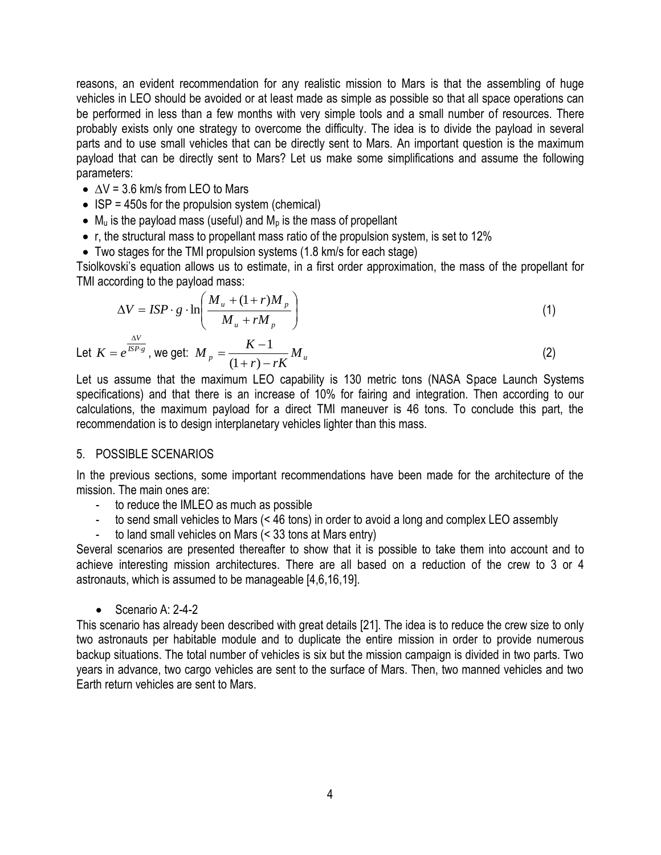reasons, an evident recommendation for any realistic mission to Mars is that the assembling of huge vehicles in LEO should be avoided or at least made as simple as possible so that all space operations can be performed in less than a few months with very simple tools and a small number of resources. There probably exists only one strategy to overcome the difficulty. The idea is to divide the payload in several parts and to use small vehicles that can be directly sent to Mars. An important question is the maximum payload that can be directly sent to Mars? Let us make some simplifications and assume the following parameters:

- $\triangle$   $\triangle$  V = 3.6 km/s from LEO to Mars
- $\bullet$  ISP = 450s for the propulsion system (chemical)
- $\bullet$  M<sub>u</sub> is the payload mass (useful) and M<sub>p</sub> is the mass of propellant
- r, the structural mass to propellant mass ratio of the propulsion system, is set to 12%
- Two stages for the TMI propulsion systems (1.8 km/s for each stage)

Tsiolkovski's equation allows us to estimate, in a first order approximation, the mass of the propellant for TMI according to the payload mass:

$$
\Delta V = ISP \cdot g \cdot \ln \left( \frac{M_u + (1+r)M_p}{M_u + rM_p} \right) \tag{1}
$$

Let 
$$
K = e^{\frac{\Delta V}{lSP \cdot g}}
$$
, we get:  $M_p = \frac{K-1}{(1+r) - rK} M_u$  (2)

Let us assume that the maximum LEO capability is 130 metric tons (NASA Space Launch Systems specifications) and that there is an increase of 10% for fairing and integration. Then according to our calculations, the maximum payload for a direct TMI maneuver is 46 tons. To conclude this part, the recommendation is to design interplanetary vehicles lighter than this mass.

## 5. POSSIBLE SCENARIOS

In the previous sections, some important recommendations have been made for the architecture of the mission. The main ones are:

- to reduce the IMLEO as much as possible
- to send small vehicles to Mars (< 46 tons) in order to avoid a long and complex LEO assembly
- to land small vehicles on Mars (< 33 tons at Mars entry)

Several scenarios are presented thereafter to show that it is possible to take them into account and to achieve interesting mission architectures. There are all based on a reduction of the crew to 3 or 4 astronauts, which is assumed to be manageable [4,6,16,19].

 $\bullet$  Scenario A: 2-4-2

This scenario has already been described with great details [21]. The idea is to reduce the crew size to only two astronauts per habitable module and to duplicate the entire mission in order to provide numerous backup situations. The total number of vehicles is six but the mission campaign is divided in two parts. Two years in advance, two cargo vehicles are sent to the surface of Mars. Then, two manned vehicles and two Earth return vehicles are sent to Mars.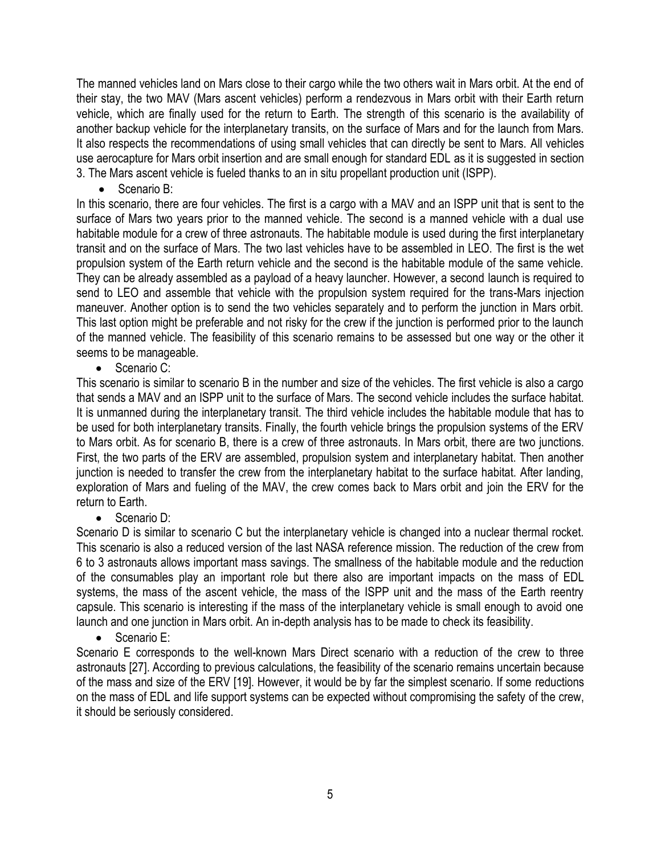The manned vehicles land on Mars close to their cargo while the two others wait in Mars orbit. At the end of their stay, the two MAV (Mars ascent vehicles) perform a rendezvous in Mars orbit with their Earth return vehicle, which are finally used for the return to Earth. The strength of this scenario is the availability of another backup vehicle for the interplanetary transits, on the surface of Mars and for the launch from Mars. It also respects the recommendations of using small vehicles that can directly be sent to Mars. All vehicles use aerocapture for Mars orbit insertion and are small enough for standard EDL as it is suggested in section 3. The Mars ascent vehicle is fueled thanks to an in situ propellant production unit (ISPP).

• Scenario B:

In this scenario, there are four vehicles. The first is a cargo with a MAV and an ISPP unit that is sent to the surface of Mars two years prior to the manned vehicle. The second is a manned vehicle with a dual use habitable module for a crew of three astronauts. The habitable module is used during the first interplanetary transit and on the surface of Mars. The two last vehicles have to be assembled in LEO. The first is the wet propulsion system of the Earth return vehicle and the second is the habitable module of the same vehicle. They can be already assembled as a payload of a heavy launcher. However, a second launch is required to send to LEO and assemble that vehicle with the propulsion system required for the trans-Mars injection maneuver. Another option is to send the two vehicles separately and to perform the junction in Mars orbit. This last option might be preferable and not risky for the crew if the junction is performed prior to the launch of the manned vehicle. The feasibility of this scenario remains to be assessed but one way or the other it seems to be manageable.

• Scenario C:

This scenario is similar to scenario B in the number and size of the vehicles. The first vehicle is also a cargo that sends a MAV and an ISPP unit to the surface of Mars. The second vehicle includes the surface habitat. It is unmanned during the interplanetary transit. The third vehicle includes the habitable module that has to be used for both interplanetary transits. Finally, the fourth vehicle brings the propulsion systems of the ERV to Mars orbit. As for scenario B, there is a crew of three astronauts. In Mars orbit, there are two junctions. First, the two parts of the ERV are assembled, propulsion system and interplanetary habitat. Then another junction is needed to transfer the crew from the interplanetary habitat to the surface habitat. After landing, exploration of Mars and fueling of the MAV, the crew comes back to Mars orbit and join the ERV for the return to Earth.

• Scenario D:

Scenario D is similar to scenario C but the interplanetary vehicle is changed into a nuclear thermal rocket. This scenario is also a reduced version of the last NASA reference mission. The reduction of the crew from 6 to 3 astronauts allows important mass savings. The smallness of the habitable module and the reduction of the consumables play an important role but there also are important impacts on the mass of EDL systems, the mass of the ascent vehicle, the mass of the ISPP unit and the mass of the Earth reentry capsule. This scenario is interesting if the mass of the interplanetary vehicle is small enough to avoid one launch and one junction in Mars orbit. An in-depth analysis has to be made to check its feasibility.

Scenario E:

Scenario E corresponds to the well-known Mars Direct scenario with a reduction of the crew to three astronauts [27]. According to previous calculations, the feasibility of the scenario remains uncertain because of the mass and size of the ERV [19]. However, it would be by far the simplest scenario. If some reductions on the mass of EDL and life support systems can be expected without compromising the safety of the crew, it should be seriously considered.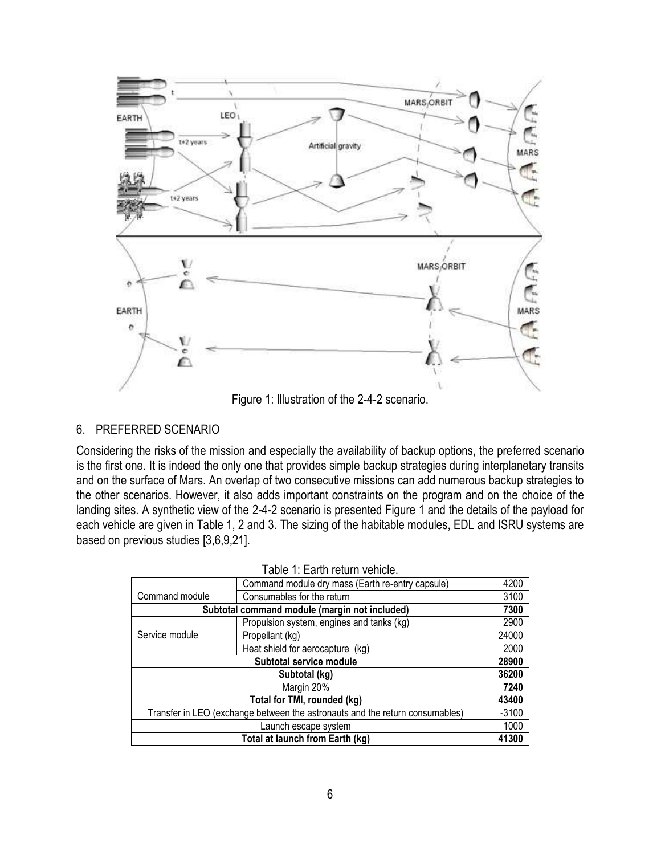

Figure 1: Illustration of the 2-4-2 scenario.

## 6. PREFERRED SCENARIO

Considering the risks of the mission and especially the availability of backup options, the preferred scenario is the first one. It is indeed the only one that provides simple backup strategies during interplanetary transits and on the surface of Mars. An overlap of two consecutive missions can add numerous backup strategies to the other scenarios. However, it also adds important constraints on the program and on the choice of the landing sites. A synthetic view of the 2-4-2 scenario is presented Figure 1 and the details of the payload for each vehicle are given in Table 1, 2 and 3. The sizing of the habitable modules, EDL and ISRU systems are based on previous studies [3,6,9,21].

|                                                                              | Command module dry mass (Earth re-entry capsule) | 4200    |  |  |
|------------------------------------------------------------------------------|--------------------------------------------------|---------|--|--|
| Command module                                                               | Consumables for the return                       | 3100    |  |  |
| Subtotal command module (margin not included)                                |                                                  |         |  |  |
| Service module                                                               | Propulsion system, engines and tanks (kg)        | 2900    |  |  |
|                                                                              | Propellant (kg)                                  | 24000   |  |  |
|                                                                              | Heat shield for aerocapture (kg)                 | 2000    |  |  |
| Subtotal service module                                                      |                                                  |         |  |  |
| Subtotal (kg)                                                                |                                                  | 36200   |  |  |
| Margin 20%                                                                   |                                                  | 7240    |  |  |
| Total for TMI, rounded (kg)                                                  |                                                  |         |  |  |
| Transfer in LEO (exchange between the astronauts and the return consumables) |                                                  | $-3100$ |  |  |
| Launch escape system                                                         |                                                  | 1000    |  |  |
| Total at launch from Earth (kg)                                              |                                                  |         |  |  |

| Table 1: Earth return vehicle. |
|--------------------------------|
|--------------------------------|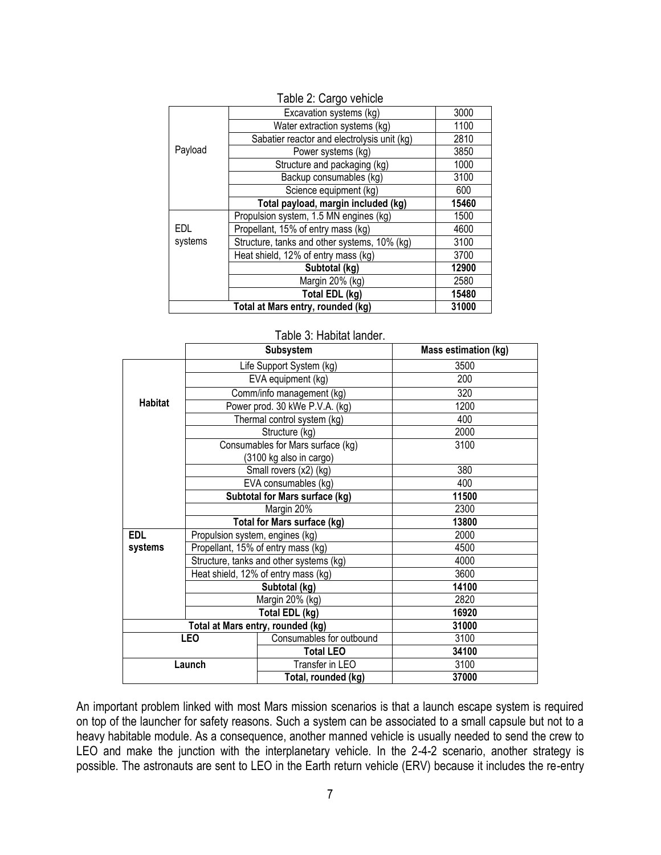| Table 2: Cargo vehicle |                                              |       |  |  |
|------------------------|----------------------------------------------|-------|--|--|
| Payload                | Excavation systems (kg)                      | 3000  |  |  |
|                        | Water extraction systems (kg)                | 1100  |  |  |
|                        | Sabatier reactor and electrolysis unit (kg)  | 2810  |  |  |
|                        | Power systems (kg)                           | 3850  |  |  |
|                        | Structure and packaging (kg)                 | 1000  |  |  |
|                        | Backup consumables (kg)                      | 3100  |  |  |
|                        | Science equipment (kg)                       | 600   |  |  |
|                        | Total payload, margin included (kg)          | 15460 |  |  |
| EDL<br>systems         | Propulsion system, 1.5 MN engines (kg)       | 1500  |  |  |
|                        | Propellant, 15% of entry mass (kg)           | 4600  |  |  |
|                        | Structure, tanks and other systems, 10% (kg) | 3100  |  |  |
|                        | Heat shield, 12% of entry mass (kg)          | 3700  |  |  |
|                        | Subtotal (kg)                                | 12900 |  |  |
|                        | Margin 20% (kg)                              | 2580  |  |  |
|                        | Total EDL (kg)                               | 15480 |  |  |
|                        | 31000                                        |       |  |  |

#### **Subsystem Mass estimation (kg) Habitat** Life Support System (kg) 3500 EVA equipment (kg) 200 Comm/info management (kg) 320 Power prod. 30 kWe P.V.A. (kg) 1200 Thermal control system (kg) 400 Structure (kg) 2000 Consumables for Mars surface (kg) (3100 kg also in cargo) 3100 Small rovers (x2) (kg) and the state of the state of the state of the state of the state of the state of the state of the state of the state of the state of the state of the state of the state of the state of the state of EVA consumables (kg)  $\vert$  400 **Subtotal for Mars surface (kg) 11500** Margin 20% 2300 **Total for Mars surface (kg) 13800 EDL systems** Propulsion system, engines (kg) 2000 Propellant, 15% of entry mass (kg) 4500 Structure, tanks and other systems (kg)  $\vert$  4000 Heat shield, 12% of entry mass (kg) 3600 **Subtotal (kg) 14100** Margin 20% (kg) 2820 **Total EDL (kg) 16920 Total at Mars entry, rounded (kg) 31000 LEO** Consumables for outbound 3100 **Total LEO 34100 Launch**  $\vert$  Transfer in LEO  $\vert$  3100 **Total, rounded (kg) 37000**

#### Table 3: Habitat lander.

An important problem linked with most Mars mission scenarios is that a launch escape system is required on top of the launcher for safety reasons. Such a system can be associated to a small capsule but not to a heavy habitable module. As a consequence, another manned vehicle is usually needed to send the crew to LEO and make the junction with the interplanetary vehicle. In the 2-4-2 scenario, another strategy is possible. The astronauts are sent to LEO in the Earth return vehicle (ERV) because it includes the re-entry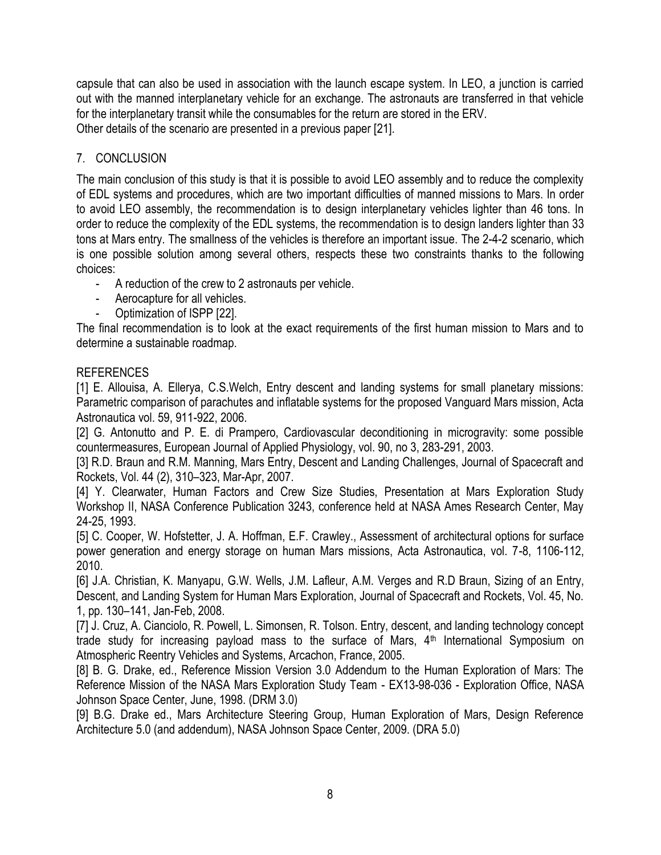capsule that can also be used in association with the launch escape system. In LEO, a junction is carried out with the manned interplanetary vehicle for an exchange. The astronauts are transferred in that vehicle for the interplanetary transit while the consumables for the return are stored in the ERV. Other details of the scenario are presented in a previous paper [21].

## 7. CONCLUSION

The main conclusion of this study is that it is possible to avoid LEO assembly and to reduce the complexity of EDL systems and procedures, which are two important difficulties of manned missions to Mars. In order to avoid LEO assembly, the recommendation is to design interplanetary vehicles lighter than 46 tons. In order to reduce the complexity of the EDL systems, the recommendation is to design landers lighter than 33 tons at Mars entry. The smallness of the vehicles is therefore an important issue. The 2-4-2 scenario, which is one possible solution among several others, respects these two constraints thanks to the following choices:

- A reduction of the crew to 2 astronauts per vehicle.
- Aerocapture for all vehicles.
- Optimization of ISPP [22].

The final recommendation is to look at the exact requirements of the first human mission to Mars and to determine a sustainable roadmap.

## REFERENCES

[1] E. Allouisa, A. Ellerya, C.S.Welch, Entry descent and landing systems for small planetary missions: Parametric comparison of parachutes and inflatable systems for the proposed Vanguard Mars mission, Acta Astronautica vol. 59, 911-922, 2006.

[2] G. Antonutto and P. E. di Prampero, Cardiovascular deconditioning in microgravity: some possible countermeasures, European Journal of Applied Physiology, vol. 90, no 3, 283-291, 2003.

[3] R.D. Braun and R.M. Manning, Mars Entry, Descent and Landing Challenges, Journal of Spacecraft and Rockets, Vol. 44 (2), 310–323, Mar-Apr, 2007.

[4] Y. Clearwater, Human Factors and Crew Size Studies, Presentation at Mars Exploration Study Workshop II, NASA Conference Publication 3243, conference held at NASA Ames Research Center, May 24-25, 1993.

[5] C. Cooper, W. Hofstetter, J. A. Hoffman, E.F. Crawley., Assessment of architectural options for surface power generation and energy storage on human Mars missions, Acta Astronautica, vol. 7-8, 1106-112, 2010.

[6] J.A. Christian, K. Manyapu, G.W. Wells, J.M. Lafleur, A.M. Verges and R.D Braun, Sizing of an Entry, Descent, and Landing System for Human Mars Exploration, Journal of Spacecraft and Rockets, Vol. 45, No. 1, pp. 130–141, Jan-Feb, 2008.

[7] J. Cruz, A. Cianciolo, R. Powell, L. Simonsen, R. Tolson. Entry, descent, and landing technology concept trade study for increasing payload mass to the surface of Mars, 4<sup>th</sup> International Symposium on Atmospheric Reentry Vehicles and Systems, Arcachon, France, 2005.

[8] B. G. Drake, ed., Reference Mission Version 3.0 Addendum to the Human Exploration of Mars: The Reference Mission of the NASA Mars Exploration Study Team - EX13-98-036 - Exploration Office, NASA Johnson Space Center, June, 1998. (DRM 3.0)

[9] B.G. Drake ed., Mars Architecture Steering Group, Human Exploration of Mars, Design Reference Architecture 5.0 (and addendum), NASA Johnson Space Center, 2009. (DRA 5.0)